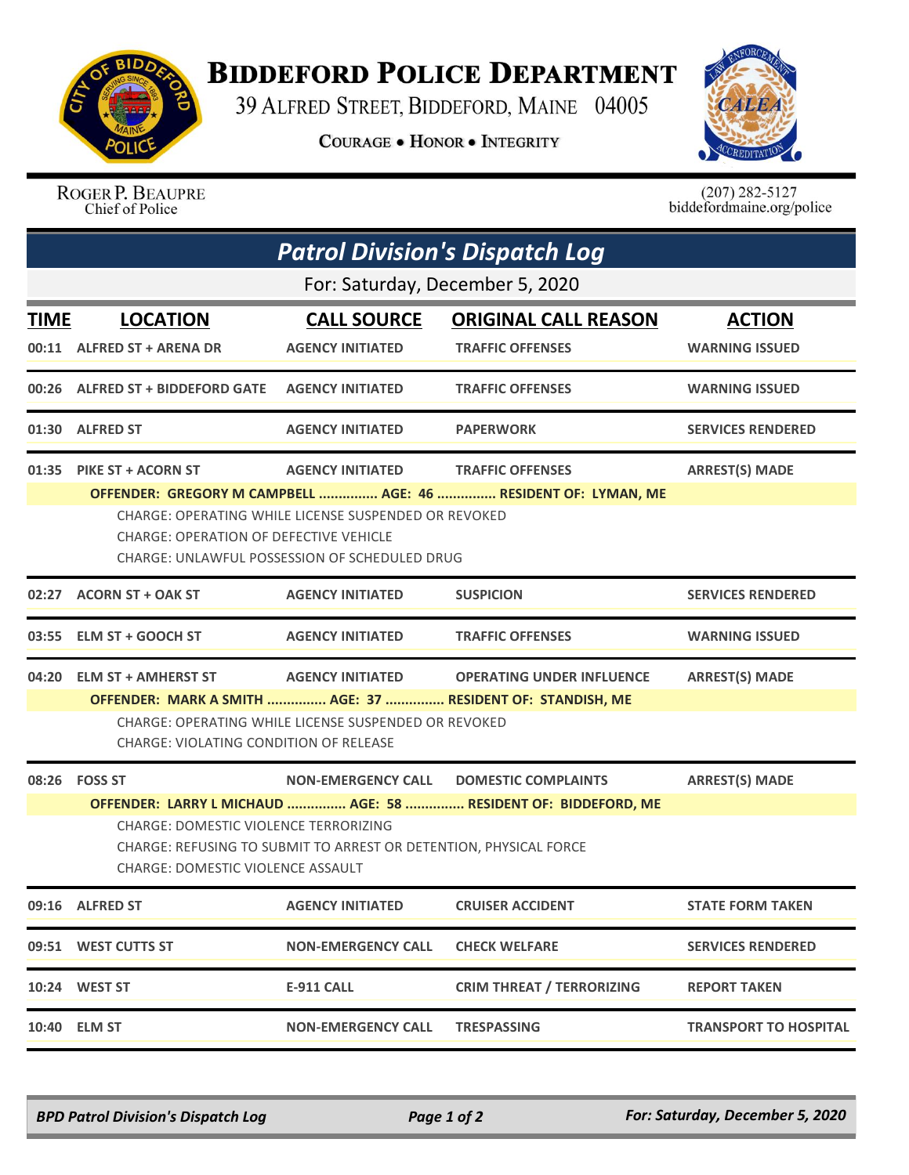

## **BIDDEFORD POLICE DEPARTMENT**

39 ALFRED STREET, BIDDEFORD, MAINE 04005

**COURAGE . HONOR . INTEGRITY** 



ROGER P. BEAUPRE Chief of Police

 $(207)$  282-5127<br>biddefordmaine.org/police

| <b>Patrol Division's Dispatch Log</b>                                                                                                                                                                                    |                                                                                                                                                                                                                                                                            |                                  |                                                                                                                             |  |  |  |
|--------------------------------------------------------------------------------------------------------------------------------------------------------------------------------------------------------------------------|----------------------------------------------------------------------------------------------------------------------------------------------------------------------------------------------------------------------------------------------------------------------------|----------------------------------|-----------------------------------------------------------------------------------------------------------------------------|--|--|--|
| For: Saturday, December 5, 2020                                                                                                                                                                                          |                                                                                                                                                                                                                                                                            |                                  |                                                                                                                             |  |  |  |
| <b>LOCATION</b>                                                                                                                                                                                                          | <b>CALL SOURCE</b>                                                                                                                                                                                                                                                         | <b>ORIGINAL CALL REASON</b>      | <b>ACTION</b>                                                                                                               |  |  |  |
|                                                                                                                                                                                                                          | <b>AGENCY INITIATED</b>                                                                                                                                                                                                                                                    | <b>TRAFFIC OFFENSES</b>          | <b>WARNING ISSUED</b>                                                                                                       |  |  |  |
|                                                                                                                                                                                                                          | <b>AGENCY INITIATED</b>                                                                                                                                                                                                                                                    | <b>TRAFFIC OFFENSES</b>          | <b>WARNING ISSUED</b>                                                                                                       |  |  |  |
|                                                                                                                                                                                                                          | <b>AGENCY INITIATED</b>                                                                                                                                                                                                                                                    | <b>PAPERWORK</b>                 | <b>SERVICES RENDERED</b>                                                                                                    |  |  |  |
|                                                                                                                                                                                                                          | <b>AGENCY INITIATED</b>                                                                                                                                                                                                                                                    | <b>TRAFFIC OFFENSES</b>          | <b>ARREST(S) MADE</b>                                                                                                       |  |  |  |
| CHARGE: OPERATING WHILE LICENSE SUSPENDED OR REVOKED<br><b>CHARGE: OPERATION OF DEFECTIVE VEHICLE</b><br>CHARGE: UNLAWFUL POSSESSION OF SCHEDULED DRUG                                                                   |                                                                                                                                                                                                                                                                            |                                  |                                                                                                                             |  |  |  |
|                                                                                                                                                                                                                          | <b>AGENCY INITIATED</b>                                                                                                                                                                                                                                                    | <b>SUSPICION</b>                 | <b>SERVICES RENDERED</b>                                                                                                    |  |  |  |
|                                                                                                                                                                                                                          | <b>AGENCY INITIATED</b>                                                                                                                                                                                                                                                    | <b>TRAFFIC OFFENSES</b>          | <b>WARNING ISSUED</b>                                                                                                       |  |  |  |
|                                                                                                                                                                                                                          | <b>AGENCY INITIATED</b>                                                                                                                                                                                                                                                    | <b>OPERATING UNDER INFLUENCE</b> | <b>ARREST(S) MADE</b>                                                                                                       |  |  |  |
| CHARGE: OPERATING WHILE LICENSE SUSPENDED OR REVOKED<br>CHARGE: VIOLATING CONDITION OF RELEASE                                                                                                                           |                                                                                                                                                                                                                                                                            |                                  |                                                                                                                             |  |  |  |
|                                                                                                                                                                                                                          | <b>NON-EMERGENCY CALL</b>                                                                                                                                                                                                                                                  | <b>DOMESTIC COMPLAINTS</b>       | <b>ARREST(S) MADE</b>                                                                                                       |  |  |  |
| OFFENDER: LARRY L MICHAUD  AGE: 58  RESIDENT OF: BIDDEFORD, ME<br><b>CHARGE: DOMESTIC VIOLENCE TERRORIZING</b><br>CHARGE: REFUSING TO SUBMIT TO ARREST OR DETENTION, PHYSICAL FORCE<br>CHARGE: DOMESTIC VIOLENCE ASSAULT |                                                                                                                                                                                                                                                                            |                                  |                                                                                                                             |  |  |  |
|                                                                                                                                                                                                                          | <b>AGENCY INITIATED</b>                                                                                                                                                                                                                                                    | <b>CRUISER ACCIDENT</b>          | <b>STATE FORM TAKEN</b>                                                                                                     |  |  |  |
|                                                                                                                                                                                                                          | <b>NON-EMERGENCY CALL</b>                                                                                                                                                                                                                                                  | <b>CHECK WELFARE</b>             | <b>SERVICES RENDERED</b>                                                                                                    |  |  |  |
|                                                                                                                                                                                                                          | <b>E-911 CALL</b>                                                                                                                                                                                                                                                          | <b>CRIM THREAT / TERRORIZING</b> | <b>REPORT TAKEN</b>                                                                                                         |  |  |  |
|                                                                                                                                                                                                                          | <b>NON-EMERGENCY CALL</b>                                                                                                                                                                                                                                                  | <b>TRESPASSING</b>               | <b>TRANSPORT TO HOSPITAL</b>                                                                                                |  |  |  |
|                                                                                                                                                                                                                          | <b>TIME</b><br>00:11 ALFRED ST + ARENA DR<br>01:30 ALFRED ST<br>01:35 PIKE ST + ACORN ST<br>02:27 ACORN ST + OAK ST<br>03:55 ELM ST + GOOCH ST<br>04:20 ELM ST + AMHERST ST<br>08:26    FOSS ST<br>09:16 ALFRED ST<br>09:51 WEST CUTTS ST<br>10:24 WEST ST<br>10:40 ELM ST | 00:26 ALFRED ST + BIDDEFORD GATE | OFFENDER: GREGORY M CAMPBELL  AGE: 46  RESIDENT OF: LYMAN, ME<br>OFFENDER: MARK A SMITH  AGE: 37  RESIDENT OF: STANDISH, ME |  |  |  |